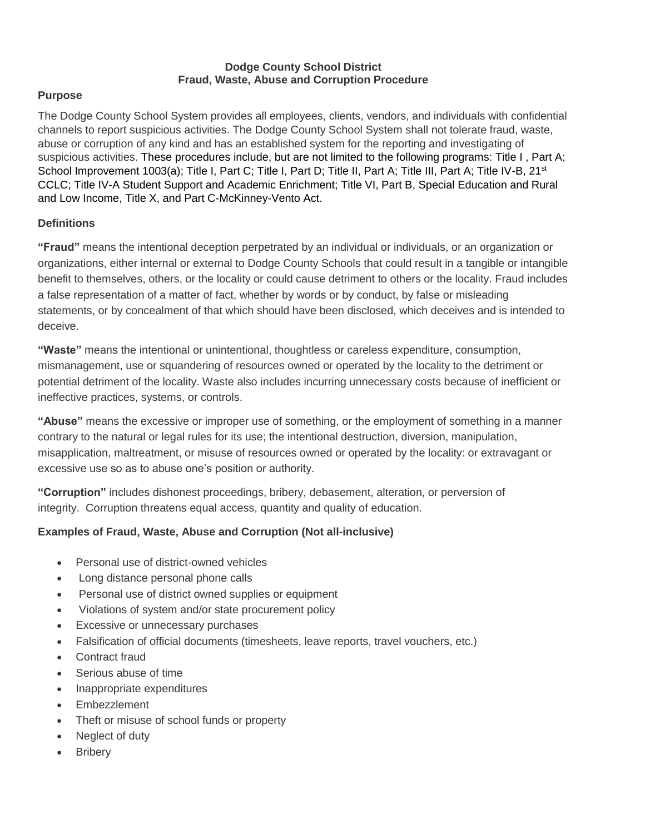#### **Dodge County School District Fraud, Waste, Abuse and Corruption Procedure**

### **Purpose**

The Dodge County School System provides all employees, clients, vendors, and individuals with confidential channels to report suspicious activities. The Dodge County School System shall not tolerate fraud, waste, abuse or corruption of any kind and has an established system for the reporting and investigating of suspicious activities. These procedures include, but are not limited to the following programs: Title I, Part A; School Improvement 1003(a); Title I, Part C; Title I, Part D; Title II, Part A; Title III, Part A; Title IV-B, 21<sup>st</sup> CCLC; Title IV-A Student Support and Academic Enrichment; Title VI, Part B, Special Education and Rural and Low Income, Title X, and Part C-McKinney-Vento Act.

## **Definitions**

**"Fraud"** means the intentional deception perpetrated by an individual or individuals, or an organization or organizations, either internal or external to Dodge County Schools that could result in a tangible or intangible benefit to themselves, others, or the locality or could cause detriment to others or the locality. Fraud includes a false representation of a matter of fact, whether by words or by conduct, by false or misleading statements, or by concealment of that which should have been disclosed, which deceives and is intended to deceive.

**"Waste"** means the intentional or unintentional, thoughtless or careless expenditure, consumption, mismanagement, use or squandering of resources owned or operated by the locality to the detriment or potential detriment of the locality. Waste also includes incurring unnecessary costs because of inefficient or ineffective practices, systems, or controls.

**"Abuse"** means the excessive or improper use of something, or the employment of something in a manner contrary to the natural or legal rules for its use; the intentional destruction, diversion, manipulation, misapplication, maltreatment, or misuse of resources owned or operated by the locality: or extravagant or excessive use so as to abuse one's position or authority.

**"Corruption"** includes dishonest proceedings, bribery, debasement, alteration, or perversion of integrity. Corruption threatens equal access, quantity and quality of education.

## **Examples of Fraud, Waste, Abuse and Corruption (Not all-inclusive)**

- Personal use of district-owned vehicles
- Long distance personal phone calls
- Personal use of district owned supplies or equipment
- Violations of system and/or state procurement policy
- Excessive or unnecessary purchases
- Falsification of official documents (timesheets, leave reports, travel vouchers, etc.)
- Contract fraud
- Serious abuse of time
- Inappropriate expenditures
- Embezzlement
- Theft or misuse of school funds or property
- Neglect of duty
- **Bribery**